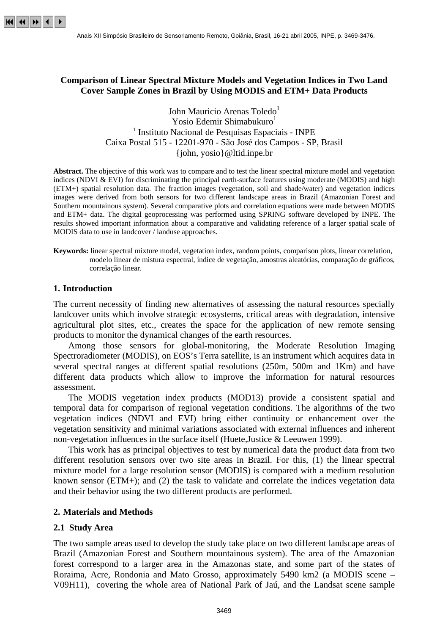

## **Comparison of Linear Spectral Mixture Models and Vegetation Indices in Two Land Cover Sample Zones in Brazil by Using MODIS and ETM+ Data Products**

John Mauricio Arenas Toledo<sup>1</sup> Yosio Edemir Shimabukuro<sup>1</sup> <sup>1</sup> Instituto Nacional de Pesquisas Espaciais - INPE Caixa Postal 515 - 12201-970 - São José dos Campos - SP, Brasil {john, yosio}@ltid.inpe.br

**Abstract.** The objective of this work was to compare and to test the linear spectral mixture model and vegetation indices (NDVI & EVI) for discriminating the principal earth-surface features using moderate (MODIS) and high (ETM+) spatial resolution data. The fraction images (vegetation, soil and shade/water) and vegetation indices images were derived from both sensors for two different landscape areas in Brazil (Amazonian Forest and Southern mountainous system). Several comparative plots and correlation equations were made between MODIS and ETM+ data. The digital geoprocessing was performed using SPRING software developed by INPE. The results showed important information about a comparative and validating reference of a larger spatial scale of MODIS data to use in landcover / landuse approaches.

**Keywords:** linear spectral mixture model, vegetation index, random points, comparison plots, linear correlation, modelo linear de mistura espectral, índice de vegetação, amostras aleatórias, comparação de gráficos, correlação linear.

#### **1. Introduction**

The current necessity of finding new alternatives of assessing the natural resources specially landcover units which involve strategic ecosystems, critical areas with degradation, intensive agricultural plot sites, etc., creates the space for the application of new remote sensing products to monitor the dynamical changes of the earth resources.

Among those sensors for global-monitoring, the Moderate Resolution Imaging Spectroradiometer (MODIS), on EOS's Terra satellite, is an instrument which acquires data in several spectral ranges at different spatial resolutions (250m, 500m and 1Km) and have different data products which allow to improve the information for natural resources assessment.

The MODIS vegetation index products (MOD13) provide a consistent spatial and temporal data for comparison of regional vegetation conditions. The algorithms of the two vegetation indices (NDVI and EVI) bring either continuity or enhancement over the vegetation sensitivity and minimal variations associated with external influences and inherent non-vegetation influences in the surface itself (Huete,Justice & Leeuwen 1999).

This work has as principal objectives to test by numerical data the product data from two different resolution sensors over two site areas in Brazil. For this, (1) the linear spectral mixture model for a large resolution sensor (MODIS) is compared with a medium resolution known sensor (ETM+); and (2) the task to validate and correlate the indices vegetation data and their behavior using the two different products are performed.

#### **2. Materials and Methods**

#### **2.1 Study Area**

The two sample areas used to develop the study take place on two different landscape areas of Brazil (Amazonian Forest and Southern mountainous system). The area of the Amazonian forest correspond to a larger area in the Amazonas state, and some part of the states of Roraima, Acre, Rondonia and Mato Grosso, approximately 5490 km2 (a MODIS scene – V09H11), covering the whole area of National Park of Jaú, and the Landsat scene sample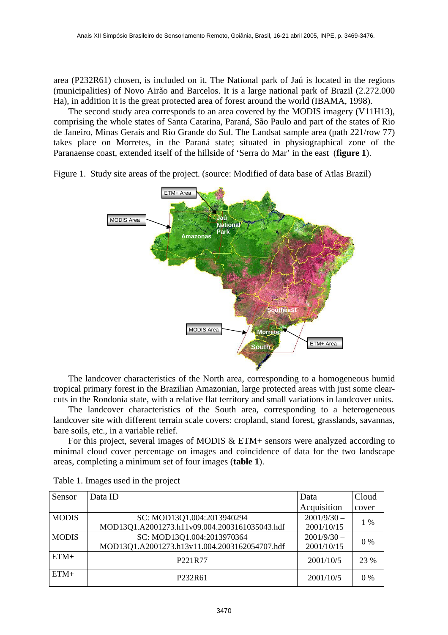area (P232R61) chosen, is included on it. The National park of Jaú is located in the regions (municipalities) of Novo Airão and Barcelos. It is a large national park of Brazil (2.272.000 Ha), in addition it is the great protected area of forest around the world (IBAMA, 1998).

The second study area corresponds to an area covered by the MODIS imagery (V11H13), comprising the whole states of Santa Catarina, Paraná, São Paulo and part of the states of Rio de Janeiro, Minas Gerais and Rio Grande do Sul. The Landsat sample area (path 221/row 77) takes place on Morretes, in the Paraná state; situated in physiographical zone of the Paranaense coast, extended itself of the hillside of 'Serra do Mar' in the east (**figure 1**).



Figure 1. Study site areas of the project. (source: Modified of data base of Atlas Brazil)

The landcover characteristics of the North area, corresponding to a homogeneous humid tropical primary forest in the Brazilian Amazonian, large protected areas with just some clearcuts in the Rondonia state, with a relative flat territory and small variations in landcover units.

The landcover characteristics of the South area, corresponding to a heterogeneous landcover site with different terrain scale covers: cropland, stand forest, grasslands, savannas, bare soils, etc., in a variable relief.

For this project, several images of MODIS & ETM+ sensors were analyzed according to minimal cloud cover percentage on images and coincidence of data for the two landscape areas, completing a minimum set of four images (**table 1**).

| Sensor       | Data ID                                       | Data          | Cloud |
|--------------|-----------------------------------------------|---------------|-------|
|              |                                               | Acquisition   | cover |
| <b>MODIS</b> | SC: MOD13Q1.004:2013940294                    | $2001/9/30 -$ | $1\%$ |
|              | MOD13Q1.A2001273.h11v09.004.2003161035043.hdf | 2001/10/15    |       |
| <b>MODIS</b> | SC: MOD13Q1.004:2013970364                    | $2001/9/30 -$ | $0\%$ |
|              | MOD13Q1.A2001273.h13v11.004.2003162054707.hdf | 2001/10/15    |       |
| $ETM+$       | P <sub>221</sub> R <sub>77</sub>              | 2001/10/5     | 23 %  |
| $ETM+$       | P <sub>232</sub> R <sub>61</sub>              | 2001/10/5     | $0\%$ |

Table 1. Images used in the project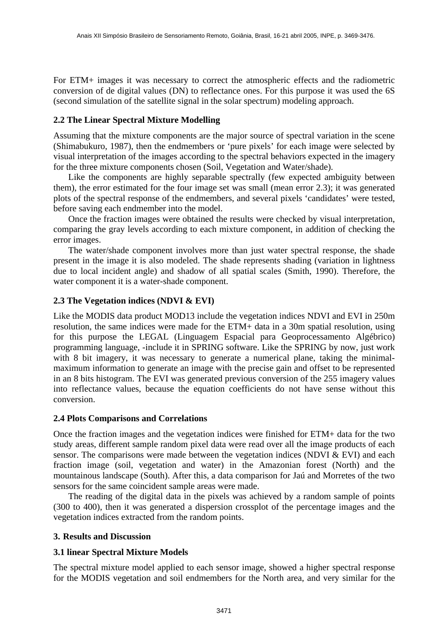For ETM+ images it was necessary to correct the atmospheric effects and the radiometric conversion of de digital values (DN) to reflectance ones. For this purpose it was used the 6S (second simulation of the satellite signal in the solar spectrum) modeling approach.

## **2.2 The Linear Spectral Mixture Modelling**

Assuming that the mixture components are the major source of spectral variation in the scene (Shimabukuro, 1987), then the endmembers or 'pure pixels' for each image were selected by visual interpretation of the images according to the spectral behaviors expected in the imagery for the three mixture components chosen (Soil, Vegetation and Water/shade).

Like the components are highly separable spectrally (few expected ambiguity between them), the error estimated for the four image set was small (mean error 2.3); it was generated plots of the spectral response of the endmembers, and several pixels 'candidates' were tested, before saving each endmember into the model.

Once the fraction images were obtained the results were checked by visual interpretation, comparing the gray levels according to each mixture component, in addition of checking the error images.

The water/shade component involves more than just water spectral response, the shade present in the image it is also modeled. The shade represents shading (variation in lightness due to local incident angle) and shadow of all spatial scales (Smith, 1990). Therefore, the water component it is a water-shade component.

### **2.3 The Vegetation indices (NDVI & EVI)**

Like the MODIS data product MOD13 include the vegetation indices NDVI and EVI in 250m resolution, the same indices were made for the ETM+ data in a 30m spatial resolution, using for this purpose the LEGAL (Linguagem Espacial para Geoprocessamento Algébrico) programming language, -include it in SPRING software. Like the SPRING by now, just work with 8 bit imagery, it was necessary to generate a numerical plane, taking the minimalmaximum information to generate an image with the precise gain and offset to be represented in an 8 bits histogram. The EVI was generated previous conversion of the 255 imagery values into reflectance values, because the equation coefficients do not have sense without this conversion.

### **2.4 Plots Comparisons and Correlations**

Once the fraction images and the vegetation indices were finished for ETM+ data for the two study areas, different sample random pixel data were read over all the image products of each sensor. The comparisons were made between the vegetation indices (NDVI & EVI) and each fraction image (soil, vegetation and water) in the Amazonian forest (North) and the mountainous landscape (South). After this, a data comparison for Jaú and Morretes of the two sensors for the same coincident sample areas were made.

The reading of the digital data in the pixels was achieved by a random sample of points (300 to 400), then it was generated a dispersion crossplot of the percentage images and the vegetation indices extracted from the random points.

### **3. Results and Discussion**

# **3.1 linear Spectral Mixture Models**

The spectral mixture model applied to each sensor image, showed a higher spectral response for the MODIS vegetation and soil endmembers for the North area, and very similar for the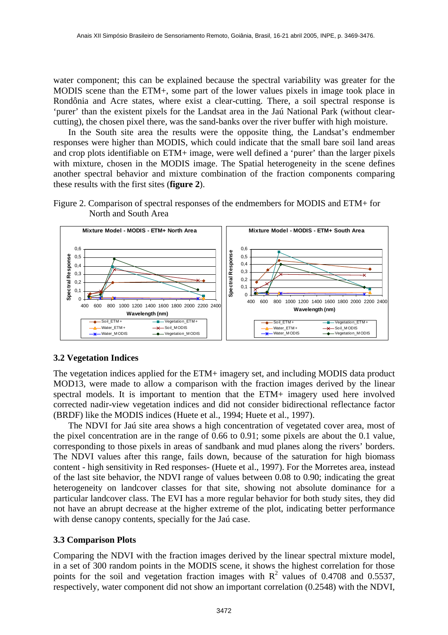water component; this can be explained because the spectral variability was greater for the MODIS scene than the ETM+, some part of the lower values pixels in image took place in Rondônia and Acre states, where exist a clear-cutting. There, a soil spectral response is 'purer' than the existent pixels for the Landsat area in the Jaú National Park (without clearcutting), the chosen pixel there, was the sand-banks over the river buffer with high moisture.

In the South site area the results were the opposite thing, the Landsat's endmember responses were higher than MODIS, which could indicate that the small bare soil land areas and crop plots identifiable on ETM+ image, were well defined a 'purer' than the larger pixels with mixture, chosen in the MODIS image. The Spatial heterogeneity in the scene defines another spectral behavior and mixture combination of the fraction components comparing these results with the first sites (**figure 2**).



Figure 2. Comparison of spectral responses of the endmembers for MODIS and ETM+ for North and South Area

# **3.2 Vegetation Indices**

The vegetation indices applied for the ETM+ imagery set, and including MODIS data product MOD13, were made to allow a comparison with the fraction images derived by the linear spectral models. It is important to mention that the ETM+ imagery used here involved corrected nadir-view vegetation indices and did not consider bidirectional reflectance factor (BRDF) like the MODIS indices (Huete et al., 1994; Huete et al., 1997).

The NDVI for Jaú site area shows a high concentration of vegetated cover area, most of the pixel concentration are in the range of 0.66 to 0.91; some pixels are about the 0.1 value, corresponding to those pixels in areas of sandbank and mud planes along the rivers' borders. The NDVI values after this range, fails down, because of the saturation for high biomass content - high sensitivity in Red responses- (Huete et al., 1997). For the Morretes area, instead of the last site behavior, the NDVI range of values between 0.08 to 0.90; indicating the great heterogeneity on landcover classes for that site, showing not absolute dominance for a particular landcover class. The EVI has a more regular behavior for both study sites, they did not have an abrupt decrease at the higher extreme of the plot, indicating better performance with dense canopy contents, specially for the Jaú case.

### **3.3 Comparison Plots**

Comparing the NDVI with the fraction images derived by the linear spectral mixture model, in a set of 300 random points in the MODIS scene, it shows the highest correlation for those points for the soil and vegetation fraction images with  $R^2$  values of 0.4708 and 0.5537, respectively, water component did not show an important correlation (0.2548) with the NDVI,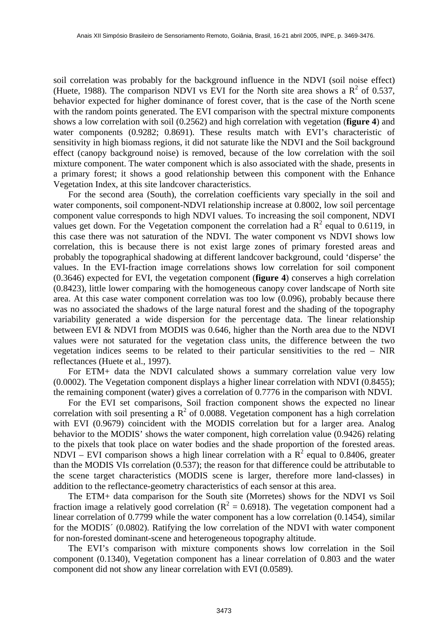soil correlation was probably for the background influence in the NDVI (soil noise effect) (Huete, 1988). The comparison NDVI vs EVI for the North site area shows a  $R^2$  of 0.537, behavior expected for higher dominance of forest cover, that is the case of the North scene with the random points generated. The EVI comparison with the spectral mixture components shows a low correlation with soil (0.2562) and high correlation with vegetation (**figure 4**) and water components (0.9282; 0.8691). These results match with EVI's characteristic of sensitivity in high biomass regions, it did not saturate like the NDVI and the Soil background effect (canopy background noise) is removed, because of the low correlation with the soil mixture component. The water component which is also associated with the shade, presents in a primary forest; it shows a good relationship between this component with the Enhance Vegetation Index, at this site landcover characteristics.

For the second area (South), the correlation coefficients vary specially in the soil and water components, soil component-NDVI relationship increase at 0.8002, low soil percentage component value corresponds to high NDVI values. To increasing the soil component, NDVI values get down. For the Vegetation component the correlation had a  $\mathbb{R}^2$  equal to 0.6119, in this case there was not saturation of the NDVI. The water component vs NDVI shows low correlation, this is because there is not exist large zones of primary forested areas and probably the topographical shadowing at different landcover background, could 'disperse' the values. In the EVI-fraction image correlations shows low correlation for soil component (0.3646) expected for EVI, the vegetation component (**figure 4**) conserves a high correlation (0.8423), little lower comparing with the homogeneous canopy cover landscape of North site area. At this case water component correlation was too low (0.096), probably because there was no associated the shadows of the large natural forest and the shading of the topography variability generated a wide dispersion for the percentage data. The linear relationship between EVI & NDVI from MODIS was 0.646, higher than the North area due to the NDVI values were not saturated for the vegetation class units, the difference between the two vegetation indices seems to be related to their particular sensitivities to the red – NIR reflectances (Huete et al., 1997).

For ETM+ data the NDVI calculated shows a summary correlation value very low (0.0002). The Vegetation component displays a higher linear correlation with NDVI (0.8455); the remaining component (water) gives a correlation of 0.7776 in the comparison with NDVI.

For the EVI set comparisons, Soil fraction component shows the expected no linear correlation with soil presenting a  $\mathbb{R}^2$  of 0.0088. Vegetation component has a high correlation with EVI (0.9679) coincident with the MODIS correlation but for a larger area. Analog behavior to the MODIS' shows the water component, high correlation value (0.9426) relating to the pixels that took place on water bodies and the shade proportion of the forested areas. NDVI – EVI comparison shows a high linear correlation with a  $R^2$  equal to 0.8406, greater than the MODIS VIs correlation (0.537); the reason for that difference could be attributable to the scene target characteristics (MODIS scene is larger, therefore more land-classes) in addition to the reflectance-geometry characteristics of each sensor at this area.

The ETM+ data comparison for the South site (Morretes) shows for the NDVI vs Soil fraction image a relatively good correlation ( $R^2 = 0.6918$ ). The vegetation component had a linear correlation of 0.7799 while the water component has a low correlation (0.1454), similar for the MODIS´ (0.0802). Ratifying the low correlation of the NDVI with water component for non-forested dominant-scene and heterogeneous topography altitude.

The EVI's comparison with mixture components shows low correlation in the Soil component (0.1340), Vegetation component has a linear correlation of 0.803 and the water component did not show any linear correlation with EVI (0.0589).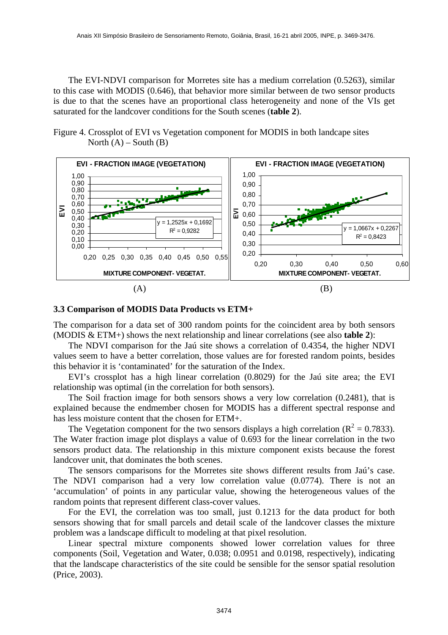The EVI-NDVI comparison for Morretes site has a medium correlation (0.5263), similar to this case with MODIS (0.646), that behavior more similar between de two sensor products is due to that the scenes have an proportional class heterogeneity and none of the VIs get saturated for the landcover conditions for the South scenes (**table 2**).

Figure 4. Crossplot of EVI vs Vegetation component for MODIS in both landcape sites North  $(A)$  – South  $(B)$ 



#### **3.3 Comparison of MODIS Data Products vs ETM+**

The comparison for a data set of 300 random points for the coincident area by both sensors (MODIS & ETM+) shows the next relationship and linear correlations (see also **table 2**):

The NDVI comparison for the Jaú site shows a correlation of 0.4354, the higher NDVI values seem to have a better correlation, those values are for forested random points, besides this behavior it is 'contaminated' for the saturation of the Index.

EVI's crossplot has a high linear correlation (0.8029) for the Jaú site area; the EVI relationship was optimal (in the correlation for both sensors).

The Soil fraction image for both sensors shows a very low correlation (0.2481), that is explained because the endmember chosen for MODIS has a different spectral response and has less moisture content that the chosen for ETM+.

The Vegetation component for the two sensors displays a high correlation ( $R^2 = 0.7833$ ). The Water fraction image plot displays a value of 0.693 for the linear correlation in the two sensors product data. The relationship in this mixture component exists because the forest landcover unit, that dominates the both scenes.

The sensors comparisons for the Morretes site shows different results from Jaú's case. The NDVI comparison had a very low correlation value (0.0774). There is not an 'accumulation' of points in any particular value, showing the heterogeneous values of the random points that represent different class-cover values.

For the EVI, the correlation was too small, just 0.1213 for the data product for both sensors showing that for small parcels and detail scale of the landcover classes the mixture problem was a landscape difficult to modeling at that pixel resolution.

Linear spectral mixture components showed lower correlation values for three components (Soil, Vegetation and Water, 0.038; 0.0951 and 0.0198, respectively), indicating that the landscape characteristics of the site could be sensible for the sensor spatial resolution (Price, 2003).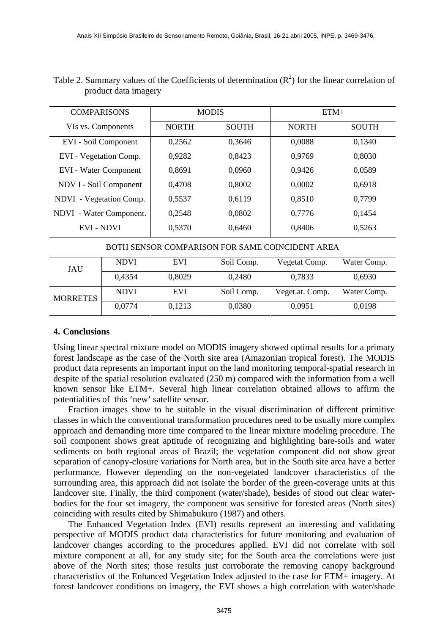| <b>COMPARISONS</b>                              | <b>MODIS</b> |              | $ETM+$       |              |
|-------------------------------------------------|--------------|--------------|--------------|--------------|
| VIs vs. Components                              | <b>NORTH</b> | <b>SOUTH</b> | <b>NORTH</b> | <b>SOUTH</b> |
| EVI - Soil Component                            | 0,2562       | 0,3646       | 0,0088       | 0,1340       |
| EVI - Vegetation Comp.                          | 0,9282       | 0,8423       | 0,9769       | 0,8030       |
| <b>EVI</b> - Water Component                    | 0,8691       | 0,0960       | 0,9426       | 0,0589       |
| NDV I - Soil Component                          | 0,4708       | 0,8002       | 0,0002       | 0,6918       |
| NDVI - Vegetation Comp.                         | 0,5537       | 0,6119       | 0,8510       | 0,7799       |
| NDVI - Water Component.                         | 0,2548       | 0,0802       | 0,7776       | 0,1454       |
| <b>EVI - NDVI</b>                               | 0,5370       | 0,6460       | 0,8406       | 0,5263       |
| BOTH SENSOR COMPARISON FOR SAME COINCIDENT AREA |              |              |              |              |

| Table 2. Summary values of the Coefficients of determination $(R^2)$ for the linear correlation of |  |  |
|----------------------------------------------------------------------------------------------------|--|--|
| product data imagery                                                                               |  |  |

| JAU             | <b>NDVI</b> | <b>EVI</b> | Soil Comp. | Vegetat Comp.   | Water Comp. |
|-----------------|-------------|------------|------------|-----------------|-------------|
|                 | 0,4354      | 0,8029     | 0,2480     | 0,7833          | 0,6930      |
| <b>MORRETES</b> | <b>NDVI</b> | <b>EVI</b> | Soil Comp. | Veget.at. Comp. | Water Comp. |
|                 | 0,0774      | 0,1213     | 0,0380     | 0,0951          | 0,0198      |

### **4. Conclusions**

Using linear spectral mixture model on MODIS imagery showed optimal results for a primary forest landscape as the case of the North site area (Amazonian tropical forest). The MODIS product data represents an important input on the land monitoring temporal-spatial research in despite of the spatial resolution evaluated (250 m) compared with the information from a well known sensor like ETM+. Several high linear correlation obtained allows to affirm the potentialities of this 'new' satellite sensor.

Fraction images show to be suitable in the visual discrimination of different primitive classes in which the conventional transformation procedures need to be usually more complex approach and demanding more time compared to the linear mixture modeling procedure. The soil component shows great aptitude of recognizing and highlighting bare-soils and water sediments on both regional areas of Brazil; the vegetation component did not show great separation of canopy-closure variations for North area, but in the South site area have a better performance. However depending on the non-vegetated landcover characteristics of the surrounding area, this approach did not isolate the border of the green-coverage units at this landcover site. Finally, the third component (water/shade), besides of stood out clear waterbodies for the four set imagery, the component was sensitive for forested areas (North sites) coinciding with results cited by Shimabukuro (1987) and others.

The Enhanced Vegetation Index (EVI) results represent an interesting and validating perspective of MODIS product data characteristics for future monitoring and evaluation of landcover changes according to the procedures applied. EVI did not correlate with soil mixture component at all, for any study site; for the South area the correlations were just above of the North sites; those results just corroborate the removing canopy background characteristics of the Enhanced Vegetation Index adjusted to the case for ETM+ imagery. At forest landcover conditions on imagery, the EVI shows a high correlation with water/shade